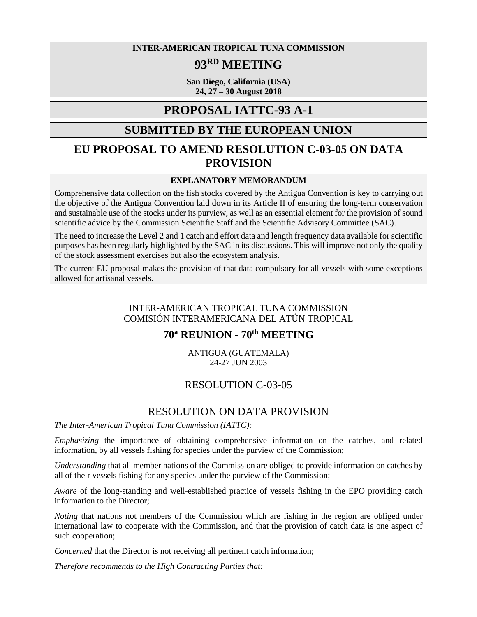**INTER-AMERICAN TROPICAL TUNA COMMISSION** 

# **93RD MEETING**

**San Diego, California (USA) 24, 27 – 30 August 2018**

## **PROPOSAL IATTC-93 A-1**

## **SUBMITTED BY THE EUROPEAN UNION**

## **EU PROPOSAL TO AMEND RESOLUTION C-03-05 ON DATA PROVISION**

#### **EXPLANATORY MEMORANDUM**

Comprehensive data collection on the fish stocks covered by the Antigua Convention is key to carrying out the objective of the Antigua Convention laid down in its Article II of ensuring the long-term conservation and sustainable use of the stocks under its purview, as well as an essential element for the provision of sound scientific advice by the Commission Scientific Staff and the Scientific Advisory Committee (SAC).

The need to increase the Level 2 and 1 catch and effort data and length frequency data available for scientific purposes has been regularly highlighted by the SAC in its discussions. This will improve not only the quality of the stock assessment exercises but also the ecosystem analysis.

The current EU proposal makes the provision of that data compulsory for all vessels with some exceptions allowed for artisanal vessels.

### INTER-AMERICAN TROPICAL TUNA COMMISSION COMISIÓN INTERAMERICANA DEL ATÚN TROPICAL

## **70a REUNION - 70th MEETING**

ANTIGUA (GUATEMALA) 24-27 JUN 2003

## RESOLUTION C-03-05

### RESOLUTION ON DATA PROVISION

*The Inter-American Tropical Tuna Commission (IATTC):*

*Emphasizing* the importance of obtaining comprehensive information on the catches, and related information, by all vessels fishing for species under the purview of the Commission;

*Understanding* that all member nations of the Commission are obliged to provide information on catches by all of their vessels fishing for any species under the purview of the Commission;

*Aware* of the long-standing and well-established practice of vessels fishing in the EPO providing catch information to the Director;

*Noting* that nations not members of the Commission which are fishing in the region are obliged under international law to cooperate with the Commission, and that the provision of catch data is one aspect of such cooperation;

*Concerned* that the Director is not receiving all pertinent catch information;

*Therefore recommends to the High Contracting Parties that:*